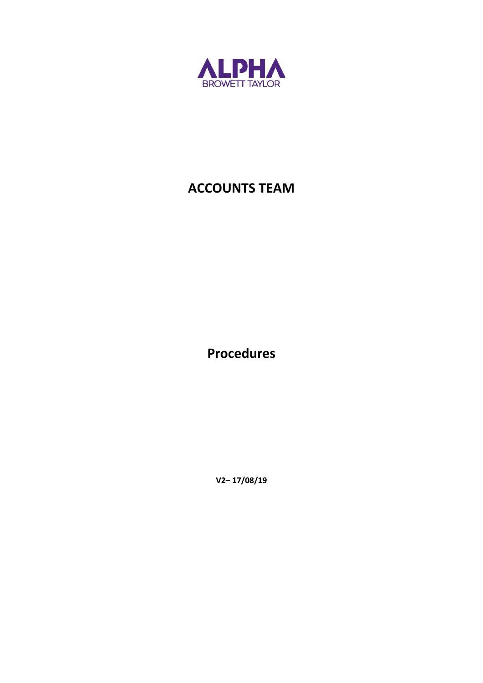

# **ACCOUNTS TEAM**

**Procedures**

**V2– 17/08/19**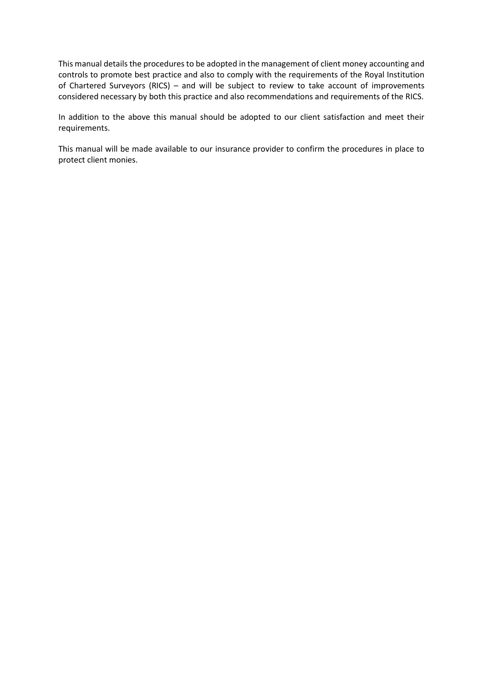This manual details the procedures to be adopted in the management of client money accounting and controls to promote best practice and also to comply with the requirements of the Royal Institution of Chartered Surveyors (RICS) – and will be subject to review to take account of improvements considered necessary by both this practice and also recommendations and requirements of the RICS.

In addition to the above this manual should be adopted to our client satisfaction and meet their requirements.

This manual will be made available to our insurance provider to confirm the procedures in place to protect client monies.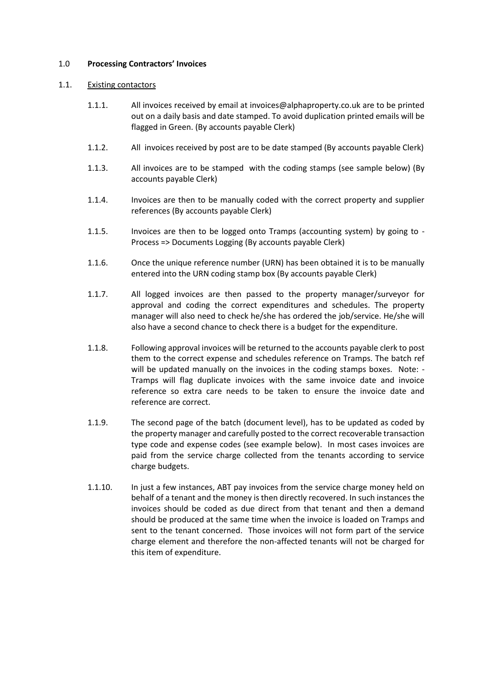#### 1.0 **Processing Contractors' Invoices**

#### 1.1. Existing contactors

- 1.1.1. All invoices received by email at invoices@alphaproperty.co.uk are to be printed out on a daily basis and date stamped. To avoid duplication printed emails will be flagged in Green. (By accounts payable Clerk)
- 1.1.2. All invoices received by post are to be date stamped (By accounts payable Clerk)
- 1.1.3. All invoices are to be stamped with the coding stamps (see sample below) (By accounts payable Clerk)
- 1.1.4. Invoices are then to be manually coded with the correct property and supplier references (By accounts payable Clerk)
- 1.1.5. Invoices are then to be logged onto Tramps (accounting system) by going to Process => Documents Logging (By accounts payable Clerk)
- 1.1.6. Once the unique reference number (URN) has been obtained it is to be manually entered into the URN coding stamp box (By accounts payable Clerk)
- 1.1.7. All logged invoices are then passed to the property manager/surveyor for approval and coding the correct expenditures and schedules. The property manager will also need to check he/she has ordered the job/service. He/she will also have a second chance to check there is a budget for the expenditure.
- 1.1.8. Following approval invoices will be returned to the accounts payable clerk to post them to the correct expense and schedules reference on Tramps. The batch ref will be updated manually on the invoices in the coding stamps boxes. Note: - Tramps will flag duplicate invoices with the same invoice date and invoice reference so extra care needs to be taken to ensure the invoice date and reference are correct.
- 1.1.9. The second page of the batch (document level), has to be updated as coded by the property manager and carefully posted to the correct recoverable transaction type code and expense codes (see example below). In most cases invoices are paid from the service charge collected from the tenants according to service charge budgets.
- 1.1.10. In just a few instances, ABT pay invoices from the service charge money held on behalf of a tenant and the money is then directly recovered. In such instances the invoices should be coded as due direct from that tenant and then a demand should be produced at the same time when the invoice is loaded on Tramps and sent to the tenant concerned. Those invoices will not form part of the service charge element and therefore the non-affected tenants will not be charged for this item of expenditure.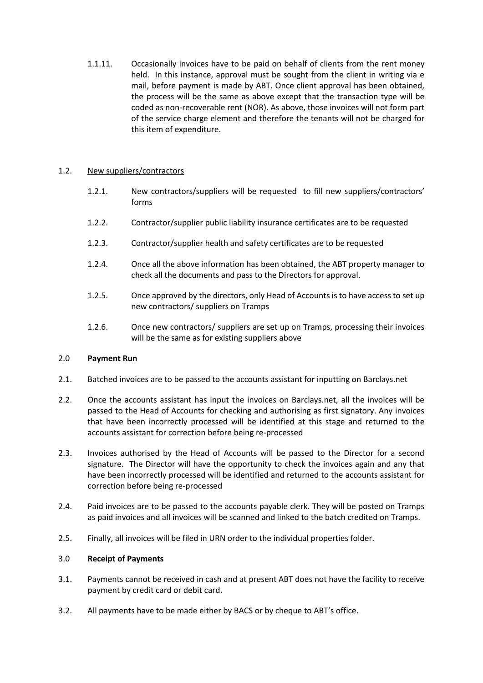1.1.11. Occasionally invoices have to be paid on behalf of clients from the rent money held. In this instance, approval must be sought from the client in writing via e mail, before payment is made by ABT. Once client approval has been obtained, the process will be the same as above except that the transaction type will be coded as non-recoverable rent (NOR). As above, those invoices will not form part of the service charge element and therefore the tenants will not be charged for this item of expenditure.

## 1.2. New suppliers/contractors

- 1.2.1. New contractors/suppliers will be requested to fill new suppliers/contractors' forms
- 1.2.2. Contractor/supplier public liability insurance certificates are to be requested
- 1.2.3. Contractor/supplier health and safety certificates are to be requested
- 1.2.4. Once all the above information has been obtained, the ABT property manager to check all the documents and pass to the Directors for approval.
- 1.2.5. Once approved by the directors, only Head of Accounts is to have access to set up new contractors/ suppliers on Tramps
- 1.2.6. Once new contractors/ suppliers are set up on Tramps, processing their invoices will be the same as for existing suppliers above

## 2.0 **Payment Run**

- 2.1. Batched invoices are to be passed to the accounts assistant for inputting on Barclays.net
- 2.2. Once the accounts assistant has input the invoices on Barclays.net, all the invoices will be passed to the Head of Accounts for checking and authorising as first signatory. Any invoices that have been incorrectly processed will be identified at this stage and returned to the accounts assistant for correction before being re-processed
- 2.3. Invoices authorised by the Head of Accounts will be passed to the Director for a second signature. The Director will have the opportunity to check the invoices again and any that have been incorrectly processed will be identified and returned to the accounts assistant for correction before being re-processed
- 2.4. Paid invoices are to be passed to the accounts payable clerk. They will be posted on Tramps as paid invoices and all invoices will be scanned and linked to the batch credited on Tramps.
- 2.5. Finally, all invoices will be filed in URN order to the individual properties folder.

## 3.0 **Receipt of Payments**

- 3.1. Payments cannot be received in cash and at present ABT does not have the facility to receive payment by credit card or debit card.
- 3.2. All payments have to be made either by BACS or by cheque to ABT's office.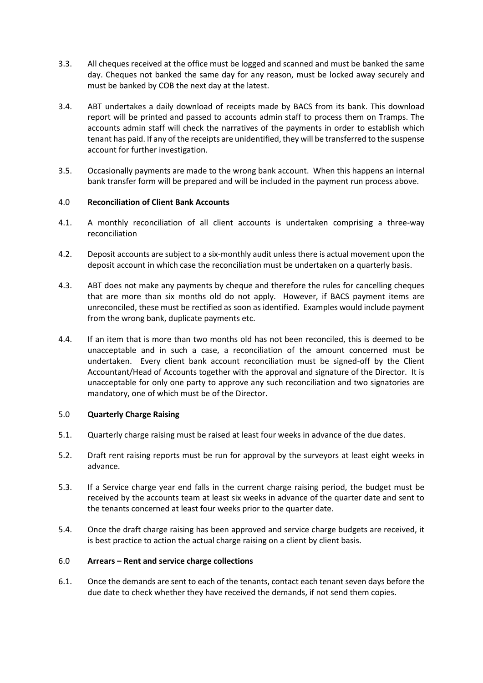- 3.3. All cheques received at the office must be logged and scanned and must be banked the same day. Cheques not banked the same day for any reason, must be locked away securely and must be banked by COB the next day at the latest.
- 3.4. ABT undertakes a daily download of receipts made by BACS from its bank. This download report will be printed and passed to accounts admin staff to process them on Tramps. The accounts admin staff will check the narratives of the payments in order to establish which tenant has paid. If any of the receipts are unidentified, they will be transferred to the suspense account for further investigation.
- 3.5. Occasionally payments are made to the wrong bank account. When this happens an internal bank transfer form will be prepared and will be included in the payment run process above.

# 4.0 **Reconciliation of Client Bank Accounts**

- 4.1. A monthly reconciliation of all client accounts is undertaken comprising a three-way reconciliation
- 4.2. Deposit accounts are subject to a six-monthly audit unless there is actual movement upon the deposit account in which case the reconciliation must be undertaken on a quarterly basis.
- 4.3. ABT does not make any payments by cheque and therefore the rules for cancelling cheques that are more than six months old do not apply. However, if BACS payment items are unreconciled, these must be rectified as soon as identified. Examples would include payment from the wrong bank, duplicate payments etc.
- 4.4. If an item that is more than two months old has not been reconciled, this is deemed to be unacceptable and in such a case, a reconciliation of the amount concerned must be undertaken. Every client bank account reconciliation must be signed-off by the Client Accountant/Head of Accounts together with the approval and signature of the Director. It is unacceptable for only one party to approve any such reconciliation and two signatories are mandatory, one of which must be of the Director.

## 5.0 **Quarterly Charge Raising**

- 5.1. Quarterly charge raising must be raised at least four weeks in advance of the due dates.
- 5.2. Draft rent raising reports must be run for approval by the surveyors at least eight weeks in advance.
- 5.3. If a Service charge year end falls in the current charge raising period, the budget must be received by the accounts team at least six weeks in advance of the quarter date and sent to the tenants concerned at least four weeks prior to the quarter date.
- 5.4. Once the draft charge raising has been approved and service charge budgets are received, it is best practice to action the actual charge raising on a client by client basis.

## 6.0 **Arrears – Rent and service charge collections**

6.1. Once the demands are sent to each of the tenants, contact each tenant seven days before the due date to check whether they have received the demands, if not send them copies.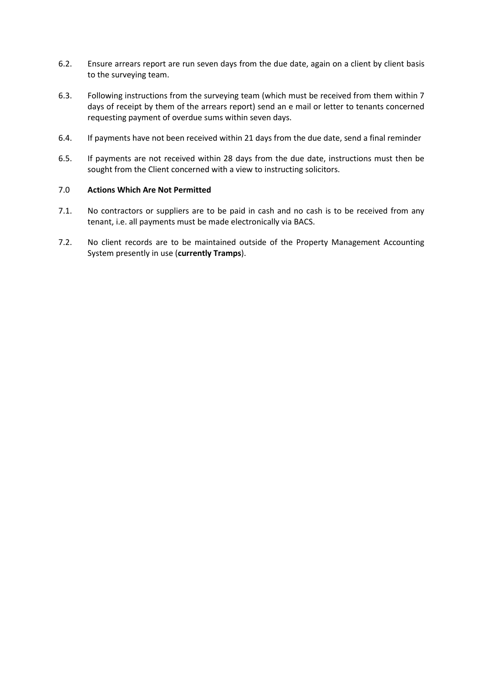- 6.2. Ensure arrears report are run seven days from the due date, again on a client by client basis to the surveying team.
- 6.3. Following instructions from the surveying team (which must be received from them within 7 days of receipt by them of the arrears report) send an e mail or letter to tenants concerned requesting payment of overdue sums within seven days.
- 6.4. If payments have not been received within 21 days from the due date, send a final reminder
- 6.5. If payments are not received within 28 days from the due date, instructions must then be sought from the Client concerned with a view to instructing solicitors.

# 7.0 **Actions Which Are Not Permitted**

- 7.1. No contractors or suppliers are to be paid in cash and no cash is to be received from any tenant, i.e. all payments must be made electronically via BACS.
- 7.2. No client records are to be maintained outside of the Property Management Accounting System presently in use (**currently Tramps**).